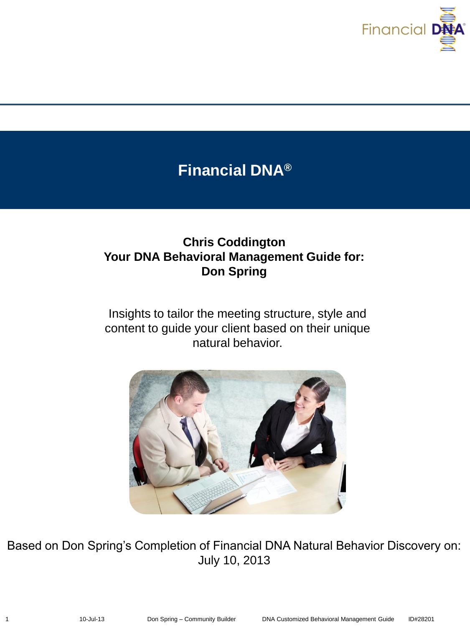

# **Financial DNA®**

# **Chris Coddington Your DNA Behavioral Management Guide for: Don Spring**

Insights to tailor the meeting structure, style and content to guide your client based on their unique natural behavior.



Based on Don Spring's Completion of Financial DNA Natural Behavior Discovery on: July 10, 2013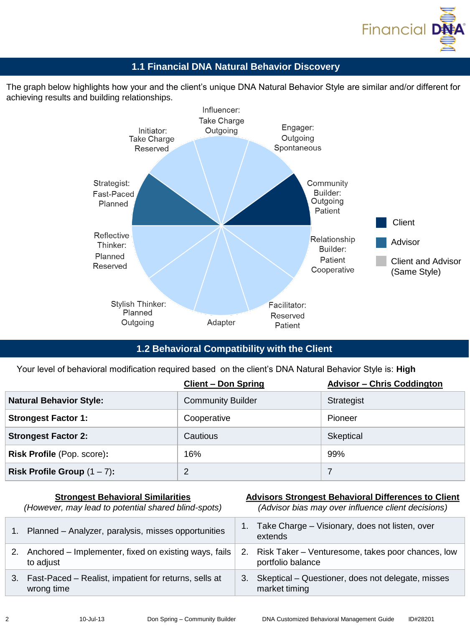

# **1.1 Financial DNA Natural Behavior Discovery**

The graph below highlights how your and the client's unique DNA Natural Behavior Style are similar and/or different for achieving results and building relationships.



# **1.2 Behavioral Compatibility with the Client**

Your level of behavioral modification required based on the client's DNA Natural Behavior Style is: **High**

|                                   | <b>Client - Don Spring</b> | <b>Advisor - Chris Coddington</b> |
|-----------------------------------|----------------------------|-----------------------------------|
| <b>Natural Behavior Style:</b>    | Community Builder          | Strategist                        |
| <b>Strongest Factor 1:</b>        | Cooperative                | Pioneer                           |
| <b>Strongest Factor 2:</b>        | Cautious                   | Skeptical                         |
| <b>Risk Profile (Pop. score):</b> | 16%                        | 99%                               |
| Risk Profile Group $(1 – 7)$ :    | າ                          | 7                                 |

|    | <b>Strongest Behavioral Similarities</b><br>(However, may lead to potential shared blind-spots) |    | <b>Advisors Strongest Behavioral Differences to Client</b><br>(Advisor bias may over influence client decisions) |
|----|-------------------------------------------------------------------------------------------------|----|------------------------------------------------------------------------------------------------------------------|
|    | Planned - Analyzer, paralysis, misses opportunities                                             |    | Take Charge - Visionary, does not listen, over<br>extends                                                        |
| 2. | Anchored - Implementer, fixed on existing ways, fails<br>to adjust                              | 2. | Risk Taker – Venturesome, takes poor chances, low<br>portfolio balance                                           |
|    | 3. Fast-Paced – Realist, impatient for returns, sells at<br>wrong time                          | 3. | Skeptical – Questioner, does not delegate, misses<br>market timing                                               |
|    |                                                                                                 |    |                                                                                                                  |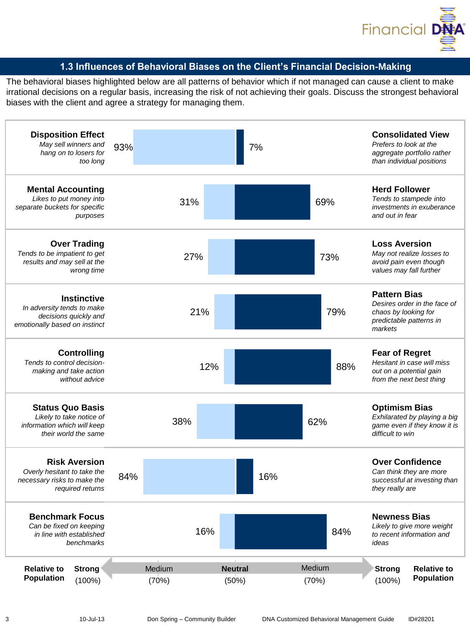

# **1.3 Influences of Behavioral Biases on the Client's Financial Decision-Making**

The behavioral biases highlighted below are all patterns of behavior which if not managed can cause a client to make irrational decisions on a regular basis, increasing the risk of not achieving their goals. Discuss the strongest behavioral biases with the client and agree a strategy for managing them.

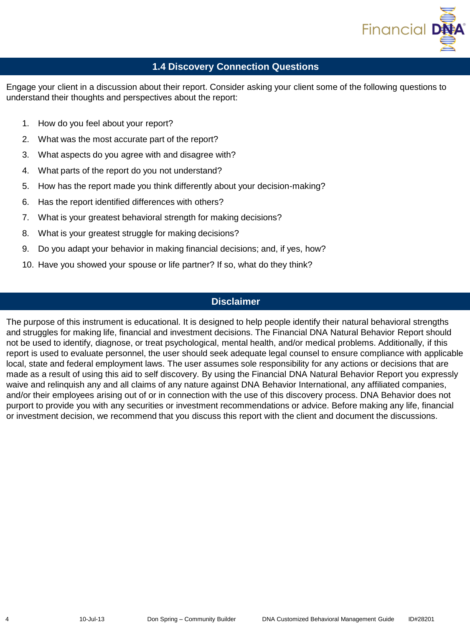

# **1.4 Discovery Connection Questions**

Engage your client in a discussion about their report. Consider asking your client some of the following questions to understand their thoughts and perspectives about the report:

- 1. How do you feel about your report?
- 2. What was the most accurate part of the report?
- 3. What aspects do you agree with and disagree with?
- 4. What parts of the report do you not understand?
- 5. How has the report made you think differently about your decision-making?
- 6. Has the report identified differences with others?
- 7. What is your greatest behavioral strength for making decisions?
- 8. What is your greatest struggle for making decisions?
- 9. Do you adapt your behavior in making financial decisions; and, if yes, how?
- 10. Have you showed your spouse or life partner? If so, what do they think?

# **Disclaimer**

The purpose of this instrument is educational. It is designed to help people identify their natural behavioral strengths and struggles for making life, financial and investment decisions. The Financial DNA Natural Behavior Report should not be used to identify, diagnose, or treat psychological, mental health, and/or medical problems. Additionally, if this report is used to evaluate personnel, the user should seek adequate legal counsel to ensure compliance with applicable local, state and federal employment laws. The user assumes sole responsibility for any actions or decisions that are made as a result of using this aid to self discovery. By using the Financial DNA Natural Behavior Report you expressly waive and relinquish any and all claims of any nature against DNA Behavior International, any affiliated companies, and/or their employees arising out of or in connection with the use of this discovery process. DNA Behavior does not purport to provide you with any securities or investment recommendations or advice. Before making any life, financial or investment decision, we recommend that you discuss this report with the client and document the discussions.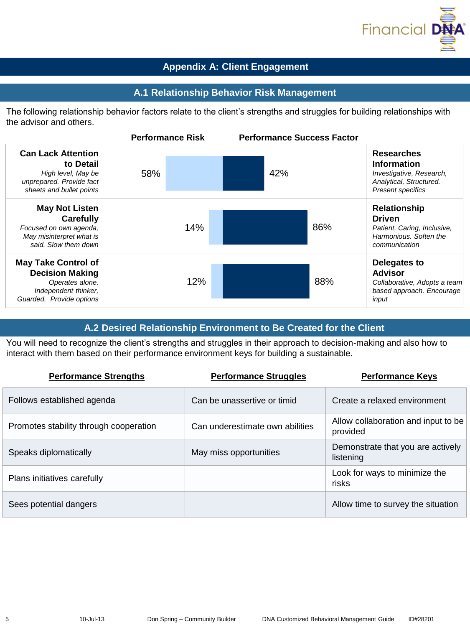

# **Appendix A: Client Engagement**

#### **A.1 Relationship Behavior Risk Management**

The following relationship behavior factors relate to the client's strengths and struggles for building relationships with the advisor and others.

|                                                                                                                             | <b>Performance Risk</b> | <b>Performance Success Factor</b> |                                                                                                                            |
|-----------------------------------------------------------------------------------------------------------------------------|-------------------------|-----------------------------------|----------------------------------------------------------------------------------------------------------------------------|
| <b>Can Lack Attention</b><br>to Detail<br>High level, May be<br>unprepared. Provide fact<br>sheets and bullet points        | 58%                     | 42%                               | <b>Researches</b><br><b>Information</b><br>Investigative, Research,<br>Analytical, Structured.<br><b>Present specifics</b> |
| <b>May Not Listen</b><br>Carefully<br>Focused on own agenda,<br>May misinterpret what is<br>said. Slow them down            | 14%                     | 86%                               | <b>Relationship</b><br><b>Driven</b><br>Patient, Caring, Inclusive,<br>Harmonious. Soften the<br>communication             |
| <b>May Take Control of</b><br><b>Decision Making</b><br>Operates alone,<br>Independent thinker,<br>Guarded. Provide options | 12%                     | 88%                               | Delegates to<br><b>Advisor</b><br>Collaborative, Adopts a team<br>based approach. Encourage<br>input                       |

# **A.2 Desired Relationship Environment to Be Created for the Client**

You will need to recognize the client's strengths and struggles in their approach to decision-making and also how to interact with them based on their performance environment keys for building a sustainable.

| <b>Performance Strengths</b>           | <b>Performance Struggles</b>    | <b>Performance Keys</b>                         |
|----------------------------------------|---------------------------------|-------------------------------------------------|
| Follows established agenda             | Can be unassertive or timid     | Create a relaxed environment                    |
| Promotes stability through cooperation | Can underestimate own abilities | Allow collaboration and input to be<br>provided |
| Speaks diplomatically                  | May miss opportunities          | Demonstrate that you are actively<br>listening  |
| Plans initiatives carefully            |                                 | Look for ways to minimize the<br>risks          |
| Sees potential dangers                 |                                 | Allow time to survey the situation              |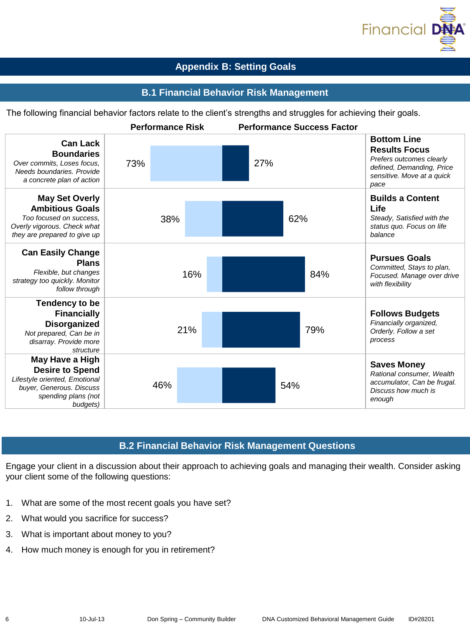

# **Appendix B: Setting Goals**

# **B.1 Financial Behavior Risk Management**

The following financial behavior factors relate to the client's strengths and struggles for achieving their goals.



# **B.2 Financial Behavior Risk Management Questions**

Engage your client in a discussion about their approach to achieving goals and managing their wealth. Consider asking your client some of the following questions:

- 1. What are some of the most recent goals you have set?
- 2. What would you sacrifice for success?
- 3. What is important about money to you?
- 4. How much money is enough for you in retirement?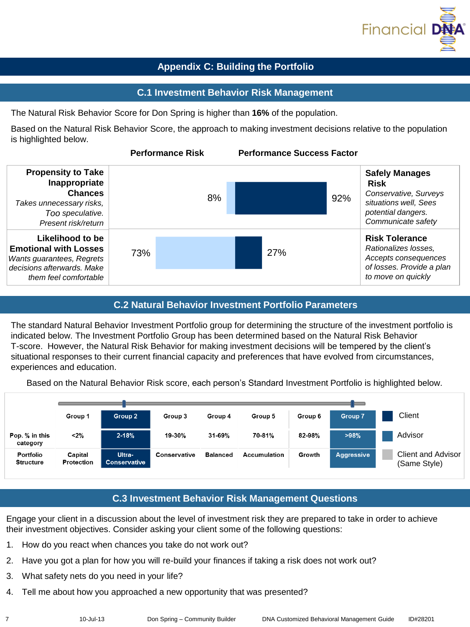

# **Appendix C: Building the Portfolio**

#### **C.1 Investment Behavior Risk Management**

The Natural Risk Behavior Score for Don Spring is higher than **16%** of the population.

Based on the Natural Risk Behavior Score, the approach to making investment decisions relative to the population is highlighted below.



#### **C.2 Natural Behavior Investment Portfolio Parameters**

The standard Natural Behavior Investment Portfolio group for determining the structure of the investment portfolio is indicated below. The Investment Portfolio Group has been determined based on the Natural Risk Behavior T-score. However, the Natural Risk Behavior for making investment decisions will be tempered by the client's situational responses to their current financial capacity and preferences that have evolved from circumstances, experiences and education.

Based on the Natural Behavior Risk score, each person's Standard Investment Portfolio is highlighted below.



# **C.3 Investment Behavior Risk Management Questions**

Engage your client in a discussion about the level of investment risk they are prepared to take in order to achieve their investment objectives. Consider asking your client some of the following questions:

- 1. How do you react when chances you take do not work out?
- 2. Have you got a plan for how you will re-build your finances if taking a risk does not work out?
- 3. What safety nets do you need in your life?
- 4. Tell me about how you approached a new opportunity that was presented?